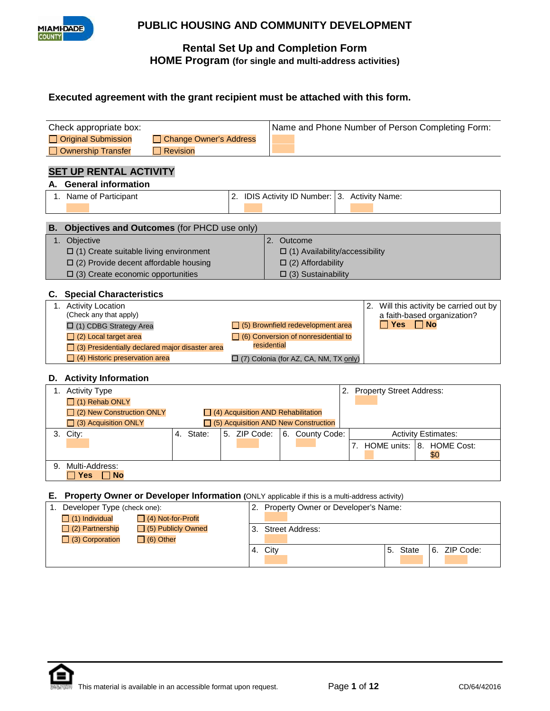

## **Rental Set Up and Completion Form HOME Program (for single and multi-address activities)**

## **Executed agreement with the grant recipient must be attached with this form.**

|      | Check appropriate box:                                                                        | Name and Phone Number of Person Completing Form: |                                                              |                                            |  |                                         |  |  |  |
|------|-----------------------------------------------------------------------------------------------|--------------------------------------------------|--------------------------------------------------------------|--------------------------------------------|--|-----------------------------------------|--|--|--|
|      | Original Submission<br><b>Change Owner's Address</b>                                          |                                                  |                                                              |                                            |  |                                         |  |  |  |
|      | <b>Revision</b><br><b>Ownership Transfer</b>                                                  |                                                  |                                                              |                                            |  |                                         |  |  |  |
|      |                                                                                               |                                                  |                                                              |                                            |  |                                         |  |  |  |
|      | <b>SET UP RENTAL ACTIVITY</b>                                                                 |                                                  |                                                              |                                            |  |                                         |  |  |  |
|      | A. General information                                                                        |                                                  |                                                              |                                            |  |                                         |  |  |  |
|      | 1. Name of Participant                                                                        | 2. IDIS Activity ID Number: 3. Activity Name:    |                                                              |                                            |  |                                         |  |  |  |
|      |                                                                                               |                                                  |                                                              |                                            |  |                                         |  |  |  |
| В.   | Objectives and Outcomes (for PHCD use only)                                                   |                                                  |                                                              |                                            |  |                                         |  |  |  |
|      | Objective                                                                                     |                                                  | 2. Outcome                                                   |                                            |  |                                         |  |  |  |
| 1.   |                                                                                               |                                                  |                                                              |                                            |  |                                         |  |  |  |
|      | $\Box$ (1) Create suitable living environment                                                 |                                                  |                                                              | $\Box$ (1) Availability/accessibility      |  |                                         |  |  |  |
|      | $\Box$ (2) Provide decent affordable housing                                                  |                                                  |                                                              | $\Box$ (2) Affordability                   |  |                                         |  |  |  |
|      | $\Box$ (3) Create economic opportunities                                                      |                                                  |                                                              | $\Box$ (3) Sustainability                  |  |                                         |  |  |  |
|      | <b>C.</b> Special Characteristics                                                             |                                                  |                                                              |                                            |  |                                         |  |  |  |
|      | 1. Activity Location                                                                          |                                                  |                                                              |                                            |  | 2. Will this activity be carried out by |  |  |  |
|      | (Check any that apply)                                                                        |                                                  | a faith-based organization?                                  |                                            |  |                                         |  |  |  |
|      | $\Box$ (1) CDBG Strategy Area                                                                 |                                                  | Yes<br>$\Box$ No<br>$\Box$ (5) Brownfield redevelopment area |                                            |  |                                         |  |  |  |
|      | $\Box$ (2) Local target area                                                                  |                                                  |                                                              | $\Box$ (6) Conversion of nonresidential to |  |                                         |  |  |  |
|      | $\Box$ (3) Presidentially declared major disaster area                                        | residential                                      |                                                              |                                            |  |                                         |  |  |  |
|      | $\Box$ (4) Historic preservation area                                                         |                                                  |                                                              | [7] (7) Colonia (for AZ, CA, NM, TX only)  |  |                                         |  |  |  |
|      | D. Activity Information                                                                       |                                                  |                                                              |                                            |  |                                         |  |  |  |
|      | 1. Activity Type                                                                              |                                                  |                                                              |                                            |  | 2. Property Street Address:             |  |  |  |
|      | $\Box$ (1) Rehab ONLY                                                                         |                                                  |                                                              |                                            |  |                                         |  |  |  |
|      | $\Box$ (2) New Construction ONLY<br>$\Box$ (4) Acquisition AND Rehabilitation                 |                                                  |                                                              |                                            |  |                                         |  |  |  |
|      | □ (3) Acquisition ONLY<br>$\Box$ (5) Acquisition AND New Construction                         |                                                  |                                                              |                                            |  |                                         |  |  |  |
|      | 4. State:<br>3. City:                                                                         | 5. ZIP Code:                                     |                                                              | 6. County Code:                            |  | <b>Activity Estimates:</b>              |  |  |  |
|      |                                                                                               |                                                  |                                                              |                                            |  | 7. HOME units: 18. HOME Cost:           |  |  |  |
|      |                                                                                               |                                                  |                                                              |                                            |  | \$0                                     |  |  |  |
| 9.   | Multi-Address:                                                                                |                                                  |                                                              |                                            |  |                                         |  |  |  |
|      | <b>Yes</b><br><b>No</b>                                                                       |                                                  |                                                              |                                            |  |                                         |  |  |  |
| E. . | Property Owner or Developer Information (ONLY applicable if this is a multi-address activity) |                                                  |                                                              |                                            |  |                                         |  |  |  |
|      | 1. Developer Type (check one):                                                                |                                                  |                                                              | 2. Property Owner or Developer's Name:     |  |                                         |  |  |  |
|      | $\Box$ (1) Individual<br>□ (4) Not-for-Profit                                                 |                                                  |                                                              |                                            |  |                                         |  |  |  |
|      | $\Box$ (2) Partnership<br>$\Box$ (5) Publicly Owned                                           | 3.                                               | <b>Street Address:</b>                                       |                                            |  |                                         |  |  |  |
|      | $\Box$ (3) Corporation<br>$\Box$ (6) Other                                                    |                                                  |                                                              |                                            |  |                                         |  |  |  |
|      |                                                                                               | 4. City                                          |                                                              |                                            |  | 6. ZIP Code:<br>5. State                |  |  |  |

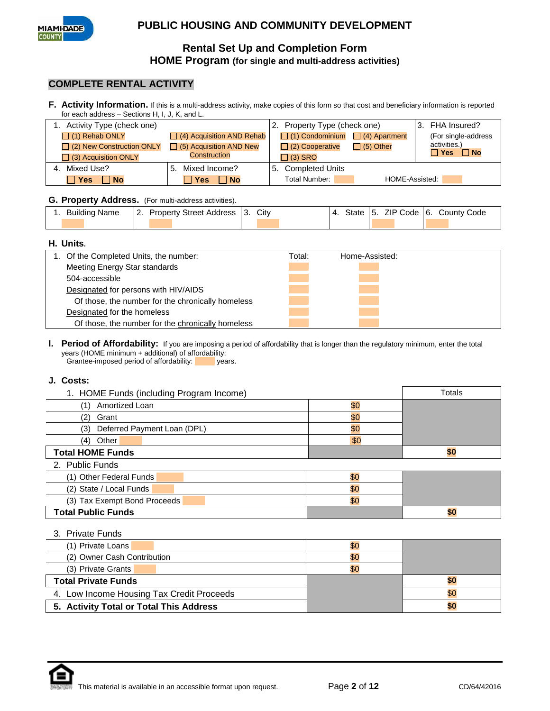

## **Rental Set Up and Completion Form HOME Program (for single and multi-address activities)**

## **COMPLETE RENTAL ACTIVITY**

**F. Activity Information.** If this is a multi-address activity, make copies of this form so that cost and beneficiary information is reported for each address – Sections H, I, J, K, and L.

| 1. Activity Type (check one)     |                                  | 2. Property Type (check one)                | 3. FHA Insured?              |
|----------------------------------|----------------------------------|---------------------------------------------|------------------------------|
| $\Box$ (1) Rehab ONLY            | $\Box$ (4) Acquisition AND Rehab | $\Box$ (1) Condominium $\Box$ (4) Apartment | (For single-address          |
| $\Box$ (2) New Construction ONLY | $\Box$ (5) Acquisition AND New   | $\Box$ (5) Other<br>$\Box$ (2) Cooperative  | activities.)<br><b>⊟ Yes</b> |
| $\Box$ (3) Acquisition ONLY      | Construction                     | $\Box$ (3) SRO                              | $\Box$ No                    |
| 4. Mixed Use?                    | Mixed Income?<br>5.              | 5. Completed Units                          |                              |
| <b>Nes</b> ⊺<br><b>No</b>        | Total Number:<br>l Yes<br>⊟ No   |                                             | HOME-Assisted:               |

#### **G. Property Address.** (For multi-address activities).

| Building Name |  | 2. Property Street Address 13. City |  |  |  | $\vert$ 4. State 5. ZIP Code 6. County Code |
|---------------|--|-------------------------------------|--|--|--|---------------------------------------------|
|               |  |                                     |  |  |  |                                             |

#### **H. Units.**

| 1. Of the Completed Units, the number:            | Total: | Home-Assisted: |
|---------------------------------------------------|--------|----------------|
| Meeting Energy Star standards                     |        |                |
| 504-accessible                                    |        |                |
| Designated for persons with HIV/AIDS              |        |                |
| Of those, the number for the chronically homeless |        |                |
| Designated for the homeless                       |        |                |
| Of those, the number for the chronically homeless |        |                |

**I. Period of Affordability:** If you are imposing a period of affordability that is longer than the regulatory minimum, enter the total years (HOME minimum + additional) of affordability:<br>Grantee-imposed period of affordability:<br>years. Grantee-imposed period of affordability:

#### **J. Costs:**

| 1. HOME Funds (including Program Income) | Totals |     |
|------------------------------------------|--------|-----|
| Amortized Loan<br>(1)                    | \$0    |     |
| (2)<br>Grant                             | \$0    |     |
| Deferred Payment Loan (DPL)<br>(3)       | \$0    |     |
| Other<br>(4)                             | \$0    |     |
| <b>Total HOME Funds</b>                  |        | \$0 |
| 2. Public Funds                          |        |     |
| (1) Other Federal Funds                  | \$0    |     |
| (2) State / Local Funds                  | \$0    |     |
| (3) Tax Exempt Bond Proceeds             | \$0    |     |
| <b>Total Public Funds</b>                |        | \$0 |
| 3. Private Funds                         |        |     |

| (1) Private Loans                         | \$0 |     |
|-------------------------------------------|-----|-----|
| (2) Owner Cash Contribution               | \$0 |     |
| (3) Private Grants                        | \$0 |     |
| <b>Total Private Funds</b>                |     | 50  |
| 4. Low Income Housing Tax Credit Proceeds |     | \$0 |
| 5. Activity Total or Total This Address   |     | \$0 |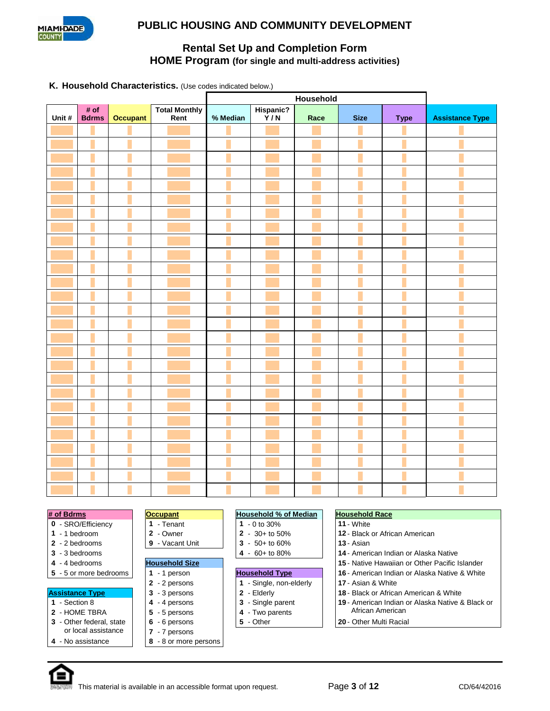

## **Rental Set Up and Completion Form HOME Program (for single and multi-address activities)**

#### **K. Household Characteristics.** (Use codes indicated below.)

|        |                      |                 |                       | Household |                  |      |             |             |                        |
|--------|----------------------|-----------------|-----------------------|-----------|------------------|------|-------------|-------------|------------------------|
| Unit # | # of<br><b>Bdrms</b> | <b>Occupant</b> | Total Monthly<br>Rent | % Median  | Hispanic?<br>Y/N | Race | <b>Size</b> | <b>Type</b> | <b>Assistance Type</b> |
|        |                      |                 |                       |           |                  |      |             |             |                        |
|        |                      |                 |                       |           |                  |      |             |             |                        |
|        |                      |                 |                       |           |                  |      |             |             |                        |
|        |                      |                 |                       |           |                  |      |             |             |                        |
|        |                      |                 |                       |           |                  |      |             |             |                        |
|        |                      |                 |                       |           |                  |      |             |             |                        |
|        |                      |                 |                       |           |                  |      |             |             |                        |
|        |                      |                 |                       |           |                  |      |             |             |                        |
|        |                      |                 |                       |           |                  |      |             |             |                        |
|        |                      |                 |                       |           |                  |      |             |             |                        |
|        |                      |                 |                       |           |                  |      |             |             |                        |
|        |                      |                 |                       |           |                  |      |             |             |                        |
|        |                      |                 |                       |           |                  |      |             |             |                        |
|        |                      |                 |                       |           |                  |      |             |             |                        |
|        |                      |                 |                       |           |                  |      |             |             |                        |
|        |                      |                 |                       |           |                  |      |             |             |                        |
|        |                      |                 |                       |           |                  |      |             |             |                        |
|        |                      |                 |                       |           |                  |      |             |             |                        |
|        |                      |                 |                       |           |                  |      |             |             |                        |
|        |                      |                 |                       |           |                  |      |             |             |                        |
|        |                      |                 |                       |           |                  |      |             |             |                        |
|        |                      |                 |                       |           |                  |      |             |             |                        |
|        |                      |                 |                       |           |                  |      |             |             |                        |
|        |                      |                 |                       |           |                  |      |             |             |                        |
|        |                      |                 |                       |           |                  |      |             |             |                        |
|        |                      |                 |                       |           |                  |      |             |             |                        |
|        |                      |                 |                       |           |                  |      |             |             |                        |

|  | 0 - SRO/Efficiency |
|--|--------------------|
|--|--------------------|

- 
- 
- 
- 
- 

- 
- 
- **3** Other federal, state
- or local assistance
- **4** No assistance **8** 8 or more persons

- 1 Tenant **1** 0 to 30% **11** White
	-
- **2** Vacant Unit **2 2 2 13** S0+ to 60% **13** Asian **14** Ameri
- 
- 
- 

**7** - 7 persons

- -
- **2**  $\begin{array}{|c|c|c|} \hline \textbf{2} & \textbf{4} & \textbf{-Two parents} \\ \hline \textbf{6} & -6 \text{ persons} & & \textbf{5} & -\text{Other} \\ \hline \end{array}$

#### **# of Bdrms Occupant Household % of Median Household Race**

- 
- **1** 1 bedroom **2** Owner **2** 30+ to 50% **12** Black or African American
	-
- **3** 3 bedrooms **4** 60+ to 80% **14** American Indian or Alaska Native
- **4** 4 bedrooms **Household Size 15** Native Hawaiian or Other Pacific Islander
- **5** 5 or more bedrooms **1 1** 1 person **1 Household Type 16** American Indian or Alaska Native & White
	- **2** 2 persons **1** Single, non-elderly **17** Asian & White
- **Assistance Type 3** 3 persons **2** Elderly **18** Black or African American & White<br>1 Section 8 **4** 4 persons **2** Single parent **19** American Indian or Alaska Native 8
- **1** Section 8 **4** 4 persons **3**  $\begin{bmatrix} 4 & -8 \ 5 & -5 \end{bmatrix}$  **3** Single parent **19** American Indian or Alaska Native & Black or
	- **6** 6 persons **5** Other **20** Other Multi Racial

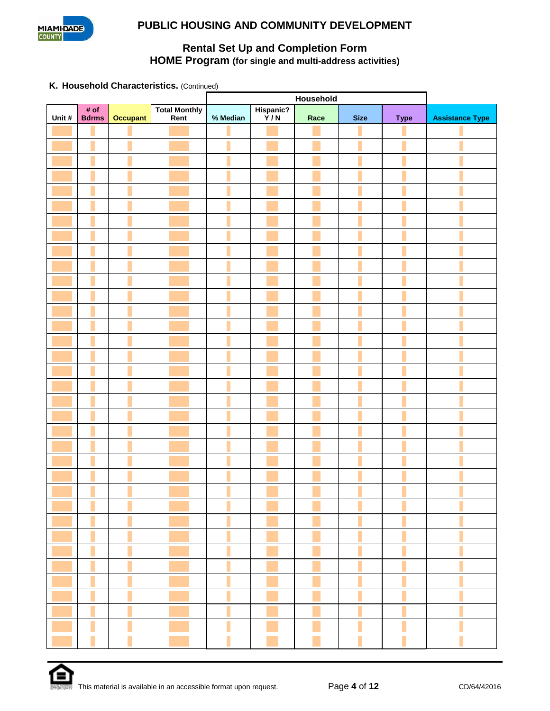

# **Rental Set Up and Completion Form HOME Program (for single and multi-address activities)**

**K. Household Characteristics.** (Continued)

| Unit # | # of<br><b>Bdrms</b> | <b>Occupant</b> | Total Monthly<br>Rent | % Median | Hispanic?<br>Y/N | Race | <b>Size</b> | <b>Type</b> | <b>Assistance Type</b> |
|--------|----------------------|-----------------|-----------------------|----------|------------------|------|-------------|-------------|------------------------|
|        |                      |                 |                       |          |                  |      |             |             |                        |
|        |                      |                 |                       |          |                  |      |             |             |                        |
|        |                      |                 |                       |          |                  |      |             |             |                        |
|        |                      |                 |                       |          |                  |      |             |             |                        |
|        |                      |                 |                       |          |                  |      |             |             |                        |
|        |                      |                 |                       |          |                  |      |             |             |                        |
|        |                      |                 |                       |          |                  |      |             |             |                        |
|        |                      |                 |                       |          |                  |      |             |             |                        |
|        |                      |                 |                       |          |                  |      |             |             |                        |
|        |                      |                 |                       |          |                  |      |             |             |                        |
|        |                      |                 |                       |          |                  |      |             |             |                        |
|        |                      |                 |                       |          |                  |      |             |             |                        |
|        |                      |                 |                       |          |                  |      |             |             |                        |
|        |                      |                 |                       |          |                  |      |             |             |                        |
|        |                      |                 |                       |          |                  |      |             |             |                        |
|        |                      |                 |                       |          |                  |      |             |             |                        |
|        |                      |                 |                       |          |                  |      |             |             |                        |
|        |                      |                 |                       |          |                  |      |             |             |                        |
|        |                      |                 |                       |          |                  |      |             |             |                        |
|        |                      |                 |                       |          |                  |      |             |             |                        |
|        |                      |                 |                       |          |                  |      |             |             |                        |
|        |                      |                 |                       |          |                  |      |             |             |                        |
|        |                      |                 |                       |          |                  |      |             |             |                        |
|        |                      |                 |                       |          |                  |      |             |             |                        |
|        |                      |                 |                       |          |                  |      |             |             |                        |
|        |                      |                 |                       |          |                  |      |             |             |                        |
|        |                      |                 |                       |          |                  |      |             |             |                        |
|        |                      |                 |                       |          |                  |      |             |             |                        |
|        |                      |                 |                       |          |                  |      |             |             |                        |
|        |                      |                 |                       |          |                  |      |             |             |                        |
|        |                      |                 |                       |          |                  |      |             |             |                        |
|        |                      |                 |                       |          |                  |      |             |             |                        |
|        |                      |                 |                       |          |                  |      |             |             |                        |
|        |                      |                 |                       |          |                  |      |             |             |                        |
|        |                      |                 |                       |          |                  |      |             |             |                        |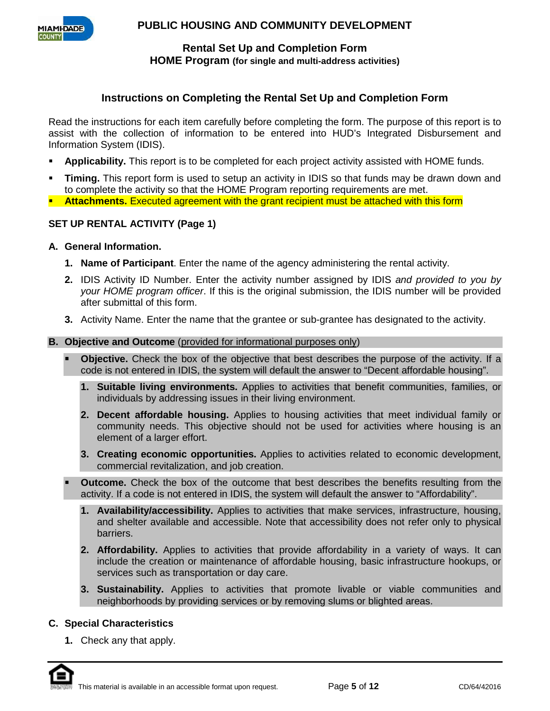

### **Rental Set Up and Completion Form HOME Program (for single and multi-address activities)**

## **Instructions on Completing the Rental Set Up and Completion Form**

Read the instructions for each item carefully before completing the form. The purpose of this report is to assist with the collection of information to be entered into HUD's Integrated Disbursement and Information System (IDIS).

- **Applicability.** This report is to be completed for each project activity assisted with HOME funds.
- **Timing.** This report form is used to setup an activity in IDIS so that funds may be drawn down and to complete the activity so that the HOME Program reporting requirements are met.
- **Attachments.** Executed agreement with the grant recipient must be attached with this form

### **SET UP RENTAL ACTIVITY (Page 1)**

- **A. General Information.** 
	- **1. Name of Participant**. Enter the name of the agency administering the rental activity.
	- **2.** IDIS Activity ID Number. Enter the activity number assigned by IDIS *and provided to you by your HOME program officer*. If this is the original submission, the IDIS number will be provided after submittal of this form.
	- **3.** Activity Name. Enter the name that the grantee or sub-grantee has designated to the activity.

#### **B. Objective and Outcome** (provided for informational purposes only)

- **Objective.** Check the box of the objective that best describes the purpose of the activity. If a code is not entered in IDIS, the system will default the answer to "Decent affordable housing".
	- **1. Suitable living environments.** Applies to activities that benefit communities, families, or individuals by addressing issues in their living environment.
	- **2. Decent affordable housing.** Applies to housing activities that meet individual family or community needs. This objective should not be used for activities where housing is an element of a larger effort.
	- **3. Creating economic opportunities.** Applies to activities related to economic development, commercial revitalization, and job creation.
- **Outcome.** Check the box of the outcome that best describes the benefits resulting from the activity. If a code is not entered in IDIS, the system will default the answer to "Affordability".
	- **1. Availability/accessibility.** Applies to activities that make services, infrastructure, housing, and shelter available and accessible. Note that accessibility does not refer only to physical barriers.
	- **2. Affordability.** Applies to activities that provide affordability in a variety of ways. It can include the creation or maintenance of affordable housing, basic infrastructure hookups, or services such as transportation or day care.
	- **3. Sustainability.** Applies to activities that promote livable or viable communities and neighborhoods by providing services or by removing slums or blighted areas.

#### **C. Special Characteristics**

**1.** Check any that apply.

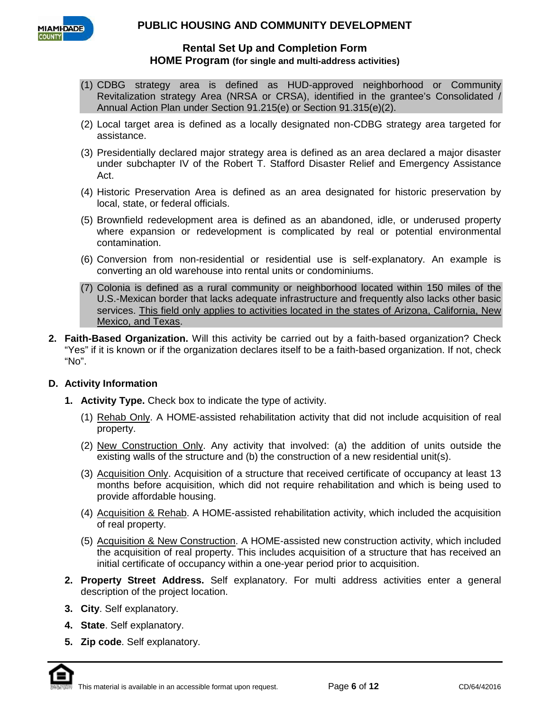

## **Rental Set Up and Completion Form HOME Program (for single and multi-address activities)**

- (1) CDBG strategy area is defined as HUD-approved neighborhood or Community Revitalization strategy Area (NRSA or CRSA), identified in the grantee's Consolidated / Annual Action Plan under Section 91.215(e) or Section 91.315(e)(2).
- (2) Local target area is defined as a locally designated non-CDBG strategy area targeted for assistance.
- (3) Presidentially declared major strategy area is defined as an area declared a major disaster under subchapter IV of the Robert T. Stafford Disaster Relief and Emergency Assistance Act.
- (4) Historic Preservation Area is defined as an area designated for historic preservation by local, state, or federal officials.
- (5) Brownfield redevelopment area is defined as an abandoned, idle, or underused property where expansion or redevelopment is complicated by real or potential environmental contamination.
- (6) Conversion from non-residential or residential use is self-explanatory. An example is converting an old warehouse into rental units or condominiums.
- (7) Colonia is defined as a rural community or neighborhood located within 150 miles of the U.S.-Mexican border that lacks adequate infrastructure and frequently also lacks other basic services. This field only applies to activities located in the states of Arizona, California, New Mexico, and Texas.
- **2. Faith-Based Organization.** Will this activity be carried out by a faith-based organization? Check "Yes" if it is known or if the organization declares itself to be a faith-based organization. If not, check "No".

### **D. Activity Information**

- **1. Activity Type.** Check box to indicate the type of activity.
	- (1) Rehab Only. A HOME-assisted rehabilitation activity that did not include acquisition of real property.
	- (2) New Construction Only. Any activity that involved: (a) the addition of units outside the existing walls of the structure and (b) the construction of a new residential unit(s).
	- (3) Acquisition Only. Acquisition of a structure that received certificate of occupancy at least 13 months before acquisition, which did not require rehabilitation and which is being used to provide affordable housing.
	- (4) Acquisition & Rehab. A HOME-assisted rehabilitation activity, which included the acquisition of real property.
	- (5) Acquisition & New Construction. A HOME-assisted new construction activity, which included the acquisition of real property. This includes acquisition of a structure that has received an initial certificate of occupancy within a one-year period prior to acquisition.
- **2. Property Street Address.** Self explanatory. For multi address activities enter a general description of the project location.
- **3. City**. Self explanatory.
- **4. State**. Self explanatory.
- **5. Zip code**. Self explanatory.

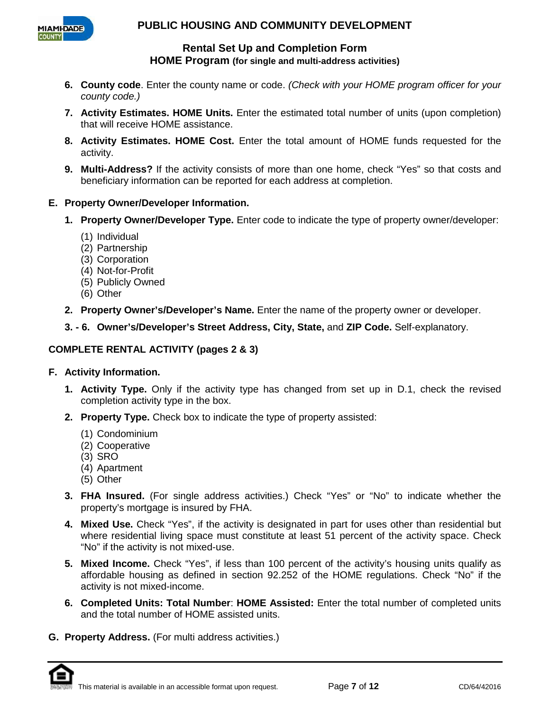

**Rental Set Up and Completion Form HOME Program (for single and multi-address activities)**

- **6. County code**. Enter the county name or code. *(Check with your HOME program officer for your county code.)*
- **7. Activity Estimates. HOME Units.** Enter the estimated total number of units (upon completion) that will receive HOME assistance.
- **8. Activity Estimates. HOME Cost.** Enter the total amount of HOME funds requested for the activity.
- **9. Multi-Address?** If the activity consists of more than one home, check "Yes" so that costs and beneficiary information can be reported for each address at completion.
- **E. Property Owner/Developer Information.**
	- **1. Property Owner/Developer Type.** Enter code to indicate the type of property owner/developer:
		- (1) Individual
		- (2) Partnership
		- (3) Corporation
		- (4) Not-for-Profit
		- (5) Publicly Owned
		- (6) Other
	- **2. Property Owner's/Developer's Name.** Enter the name of the property owner or developer.
	- **3. - 6. Owner's/Developer's Street Address, City, State,** and **ZIP Code.** Self-explanatory.

## **COMPLETE RENTAL ACTIVITY (pages 2 & 3)**

### **F. Activity Information.**

- **1. Activity Type.** Only if the activity type has changed from set up in D.1, check the revised completion activity type in the box.
- **2. Property Type.** Check box to indicate the type of property assisted:
	- (1) Condominium
	- (2) Cooperative
	- (3) SRO
	- (4) Apartment
	- (5) Other
- **3. FHA Insured.** (For single address activities.) Check "Yes" or "No" to indicate whether the property's mortgage is insured by FHA.
- **4. Mixed Use.** Check "Yes", if the activity is designated in part for uses other than residential but where residential living space must constitute at least 51 percent of the activity space. Check "No" if the activity is not mixed-use.
- **5. Mixed Income.** Check "Yes", if less than 100 percent of the activity's housing units qualify as affordable housing as defined in section 92.252 of the HOME regulations. Check "No" if the activity is not mixed-income.
- **6. Completed Units: Total Number**: **HOME Assisted:** Enter the total number of completed units and the total number of HOME assisted units.
- **G. Property Address.** (For multi address activities.)

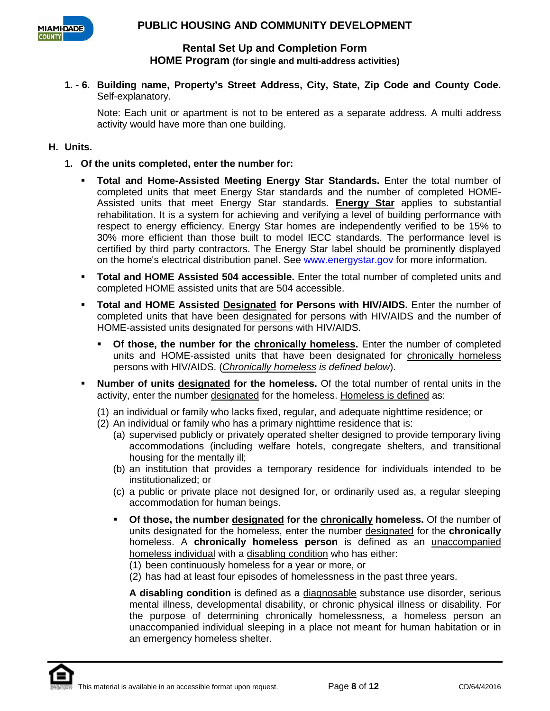

# **Rental Set Up and Completion Form HOME Program (for single and multi-address activities)**

**1. - 6. Building name, Property's Street Address, City, State, Zip Code and County Code.**  Self-explanatory.

Note: Each unit or apartment is not to be entered as a separate address. A multi address activity would have more than one building.

## **H. Units.**

- **1. Of the units completed, enter the number for:**
	- **Total and Home-Assisted Meeting Energy Star Standards.** Enter the total number of completed units that meet Energy Star standards and the number of completed HOME-Assisted units that meet Energy Star standards. **Energy Star** applies to substantial rehabilitation. It is a system for achieving and verifying a level of building performance with respect to energy efficiency. Energy Star homes are independently verified to be 15% to 30% more efficient than those built to model IECC standards. The performance level is certified by third party contractors. The Energy Star label should be prominently displayed on the home's electrical distribution panel. See www.energystar.gov for more information.
	- **Total and HOME Assisted 504 accessible.** Enter the total number of completed units and completed HOME assisted units that are 504 accessible.
	- **Total and HOME Assisted Designated for Persons with HIV/AIDS.** Enter the number of completed units that have been designated for persons with HIV/AIDS and the number of HOME-assisted units designated for persons with HIV/AIDS.
		- **Of those, the number for the chronically homeless.** Enter the number of completed units and HOME-assisted units that have been designated for chronically homeless persons with HIV/AIDS. (*Chronically homeless is defined below*).
	- **Number of units designated for the homeless.** Of the total number of rental units in the activity, enter the number designated for the homeless. Homeless is defined as:
		- (1) an individual or family who lacks fixed, regular, and adequate nighttime residence; or
		- (2) An individual or family who has a primary nighttime residence that is:
			- (a) supervised publicly or privately operated shelter designed to provide temporary living accommodations (including welfare hotels, congregate shelters, and transitional housing for the mentally ill;
			- (b) an institution that provides a temporary residence for individuals intended to be institutionalized; or
			- (c) a public or private place not designed for, or ordinarily used as, a regular sleeping accommodation for human beings.
			- **Of those, the number designated for the chronically homeless.** Of the number of units designated for the homeless, enter the number designated for the **chronically** homeless. A **chronically homeless person** is defined as an unaccompanied homeless individual with a disabling condition who has either:

(1) been continuously homeless for a year or more, or

(2) has had at least four episodes of homelessness in the past three years.

**A disabling condition** is defined as a diagnosable substance use disorder, serious mental illness, developmental disability, or chronic physical illness or disability. For the purpose of determining chronically homelessness, a homeless person an unaccompanied individual sleeping in a place not meant for human habitation or in an emergency homeless shelter.

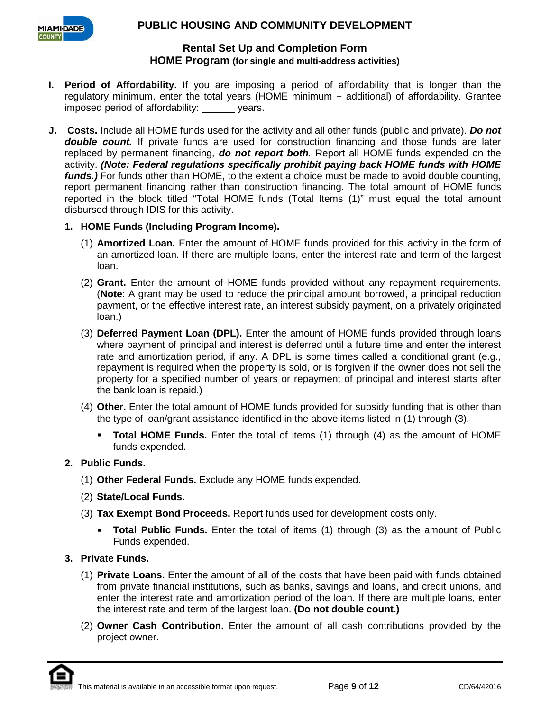

# **Rental Set Up and Completion Form HOME Program (for single and multi-address activities)**

- **I. Period of Affordability.** If you are imposing a period of affordability that is longer than the regulatory minimum, enter the total years (HOME minimum + additional) of affordability. Grantee imposed period of affordability: \_\_\_\_\_\_ years.
- **J. Costs.** Include all HOME funds used for the activity and all other funds (public and private). *Do not double count.* If private funds are used for construction financing and those funds are later replaced by permanent financing, *do not report both.* Report all HOME funds expended on the activity. *(Note: Federal regulations specifically prohibit paying back HOME funds with HOME funds.)* For funds other than HOME, to the extent a choice must be made to avoid double counting, report permanent financing rather than construction financing. The total amount of HOME funds reported in the block titled "Total HOME funds (Total Items (1)" must equal the total amount disbursed through IDIS for this activity.
	- **1. HOME Funds (Including Program Income).**
		- (1) **Amortized Loan.** Enter the amount of HOME funds provided for this activity in the form of an amortized loan. If there are multiple loans, enter the interest rate and term of the largest loan.
		- (2) **Grant.** Enter the amount of HOME funds provided without any repayment requirements. (**Note**: A grant may be used to reduce the principal amount borrowed, a principal reduction payment, or the effective interest rate, an interest subsidy payment, on a privately originated loan.)
		- (3) **Deferred Payment Loan (DPL).** Enter the amount of HOME funds provided through loans where payment of principal and interest is deferred until a future time and enter the interest rate and amortization period, if any. A DPL is some times called a conditional grant (e.g., repayment is required when the property is sold, or is forgiven if the owner does not sell the property for a specified number of years or repayment of principal and interest starts after the bank loan is repaid.)
		- (4) **Other.** Enter the total amount of HOME funds provided for subsidy funding that is other than the type of loan/grant assistance identified in the above items listed in (1) through (3).
			- **Total HOME Funds.** Enter the total of items (1) through (4) as the amount of HOME funds expended.
	- **2. Public Funds.**
		- (1) **Other Federal Funds.** Exclude any HOME funds expended.
		- (2) **State/Local Funds.**
		- (3) **Tax Exempt Bond Proceeds.** Report funds used for development costs only.
			- **Total Public Funds.** Enter the total of items (1) through (3) as the amount of Public Funds expended.
	- **3. Private Funds.**
		- (1) **Private Loans.** Enter the amount of all of the costs that have been paid with funds obtained from private financial institutions, such as banks, savings and loans, and credit unions, and enter the interest rate and amortization period of the loan. If there are multiple loans, enter the interest rate and term of the largest loan. **(Do not double count.)**
		- (2) **Owner Cash Contribution.** Enter the amount of all cash contributions provided by the project owner.

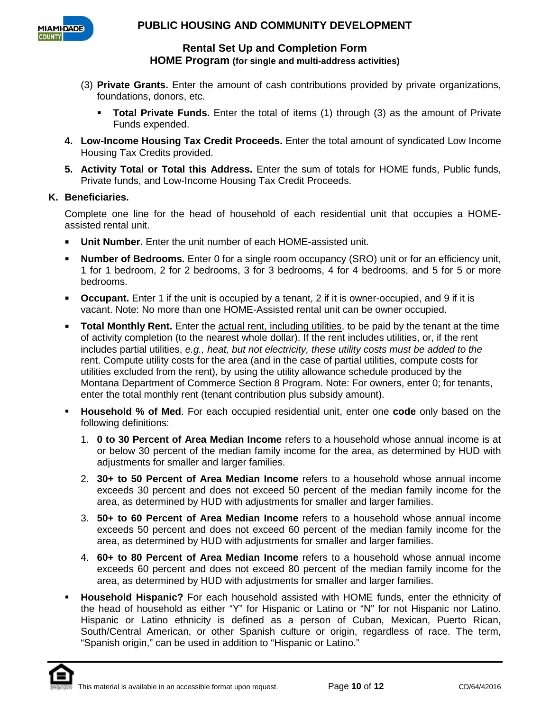

**Rental Set Up and Completion Form HOME Program (for single and multi-address activities)**

- (3) **Private Grants.** Enter the amount of cash contributions provided by private organizations, foundations, donors, etc.
	- **Total Private Funds.** Enter the total of items (1) through (3) as the amount of Private Funds expended.
- **4. Low-Income Housing Tax Credit Proceeds.** Enter the total amount of syndicated Low Income Housing Tax Credits provided.
- **5. Activity Total or Total this Address.** Enter the sum of totals for HOME funds, Public funds, Private funds, and Low-Income Housing Tax Credit Proceeds.

### **K. Beneficiaries.**

Complete one line for the head of household of each residential unit that occupies a HOMEassisted rental unit.

- **Unit Number.** Enter the unit number of each HOME-assisted unit.
- **Number of Bedrooms.** Enter 0 for a single room occupancy (SRO) unit or for an efficiency unit, 1 for 1 bedroom, 2 for 2 bedrooms, 3 for 3 bedrooms, 4 for 4 bedrooms, and 5 for 5 or more bedrooms.
- **Occupant.** Enter 1 if the unit is occupied by a tenant, 2 if it is owner-occupied, and 9 if it is vacant. Note: No more than one HOME-Assisted rental unit can be owner occupied.
- **Total Monthly Rent.** Enter the actual rent, including utilities, to be paid by the tenant at the time of activity completion (to the nearest whole dollar). If the rent includes utilities, or, if the rent includes partial utilities, *e.g., heat, but not electricity, these utility costs must be added to the*  rent. Compute utility costs for the area (and in the case of partial utilities, compute costs for utilities excluded from the rent), by using the utility allowance schedule produced by the Montana Department of Commerce Section 8 Program. Note: For owners, enter 0; for tenants, enter the total monthly rent (tenant contribution plus subsidy amount).
- **Household % of Med**. For each occupied residential unit, enter one **code** only based on the following definitions:
	- 1. **0 to 30 Percent of Area Median Income** refers to a household whose annual income is at or below 30 percent of the median family income for the area, as determined by HUD with adjustments for smaller and larger families.
	- 2. **30+ to 50 Percent of Area Median Income** refers to a household whose annual income exceeds 30 percent and does not exceed 50 percent of the median family income for the area, as determined by HUD with adjustments for smaller and larger families.
	- 3. **50+ to 60 Percent of Area Median Income** refers to a household whose annual income exceeds 50 percent and does not exceed 60 percent of the median family income for the area, as determined by HUD with adjustments for smaller and larger families.
	- 4. **60+ to 80 Percent of Area Median Income** refers to a household whose annual income exceeds 60 percent and does not exceed 80 percent of the median family income for the area, as determined by HUD with adjustments for smaller and larger families.
- **Household Hispanic?** For each household assisted with HOME funds, enter the ethnicity of the head of household as either "Y" for Hispanic or Latino or "N" for not Hispanic nor Latino. Hispanic or Latino ethnicity is defined as a person of Cuban, Mexican, Puerto Rican, South/Central American, or other Spanish culture or origin, regardless of race. The term, "Spanish origin," can be used in addition to "Hispanic or Latino."

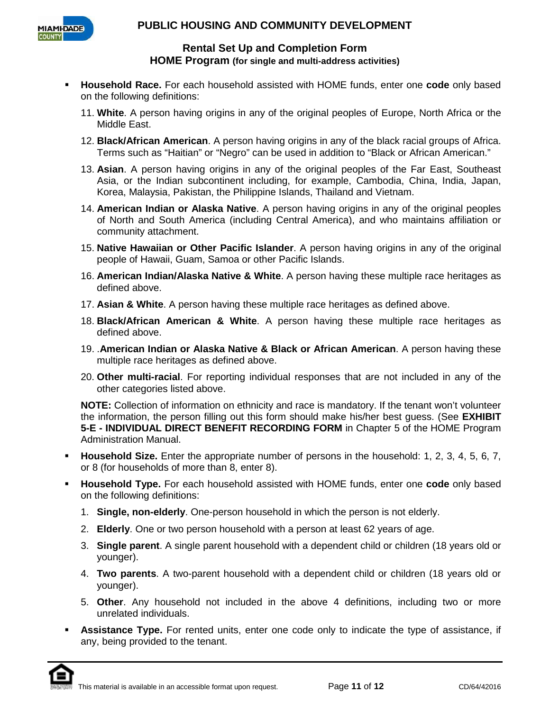

**Rental Set Up and Completion Form HOME Program (for single and multi-address activities)**

- **Household Race.** For each household assisted with HOME funds, enter one **code** only based on the following definitions:
	- 11. **White**. A person having origins in any of the original peoples of Europe, North Africa or the Middle East.
	- 12. **Black/African American**. A person having origins in any of the black racial groups of Africa. Terms such as "Haitian" or "Negro" can be used in addition to "Black or African American."
	- 13. **Asian**. A person having origins in any of the original peoples of the Far East, Southeast Asia, or the Indian subcontinent including, for example, Cambodia, China, India, Japan, Korea, Malaysia, Pakistan, the Philippine Islands, Thailand and Vietnam.
	- 14. **American Indian or Alaska Native**. A person having origins in any of the original peoples of North and South America (including Central America), and who maintains affiliation or community attachment.
	- 15. **Native Hawaiian or Other Pacific Islander**. A person having origins in any of the original people of Hawaii, Guam, Samoa or other Pacific Islands.
	- 16. **American Indian/Alaska Native & White**. A person having these multiple race heritages as defined above.
	- 17. **Asian & White**. A person having these multiple race heritages as defined above.
	- 18. **Black/African American & White**. A person having these multiple race heritages as defined above.
	- 19. .**American Indian or Alaska Native & Black or African American**. A person having these multiple race heritages as defined above.
	- 20. **Other multi-racial**. For reporting individual responses that are not included in any of the other categories listed above.

**NOTE:** Collection of information on ethnicity and race is mandatory. If the tenant won't volunteer the information, the person filling out this form should make his/her best guess. (See **EXHIBIT 5-E - INDIVIDUAL DIRECT BENEFIT RECORDING FORM** in Chapter 5 of the HOME Program Administration Manual.

- **Household Size.** Enter the appropriate number of persons in the household: 1, 2, 3, 4, 5, 6, 7, or 8 (for households of more than 8, enter 8).
- **Household Type.** For each household assisted with HOME funds, enter one **code** only based on the following definitions:
	- 1. **Single, non-elderly**. One-person household in which the person is not elderly.
	- 2. **Elderly**. One or two person household with a person at least 62 years of age.
	- 3. **Single parent**. A single parent household with a dependent child or children (18 years old or younger).
	- 4. **Two parents**. A two-parent household with a dependent child or children (18 years old or younger).
	- 5. **Other**. Any household not included in the above 4 definitions, including two or more unrelated individuals.
- **Assistance Type.** For rented units, enter one code only to indicate the type of assistance, if any, being provided to the tenant.